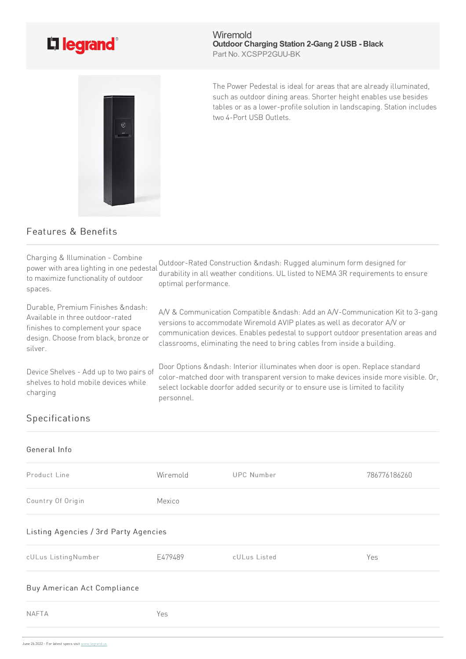

Wiremold **Outdoor Charging Station 2-Gang 2 USB - Black** Part No. XCSPP2GUU-BK

The Power Pedestal is ideal for areas that are already illuminated, such as outdoor dining areas. Shorter height enables use besides tables or as a lower-profile solution in landscaping. Station includes two4-Port USB Outlets.

# Features & Benefits

Charging & Illumination- Combine power with area lighting in one pedestal to maximize functionality of outdoor spaces. Outdoor-Rated Construction &ndash: Rugged aluminum form designed for durability in all weather conditions. UL listed to NEMA 3R requirements to ensure optimal performance. Durable, Premium Finishes &ndash: Available in three outdoor-rated finishes tocomplement your space design. Choose from black, bronze or silver. A/V & Communication Compatible &ndash: Add an A/V-Communication Kit to 3-gang versions to accommodate Wiremold AVIP plates as well as decorator A/V or communication devices. Enables pedestal to support outdoor presentation areas and classrooms, eliminating the need to bring cables from inside a building. Device Shelves - Add up to two pairs of shelves to hold mobile devices while charging Door Options &ndash: Interior illuminates when door is open. Replace standard color-matched door with transparent version to make devices inside more visible. Or, select lockable doorfor added security or to ensure use is limited to facility personnel. Specifications

## General Info

| Product Line      | Wiremold | UPC Number | 786776186260 |
|-------------------|----------|------------|--------------|
| Country Of Origin | Mexico   |            |              |

### Listing Agencies / 3rd Party Agencies

| cULus ListingNumber | F479489 | cULus Listed | Yes |
|---------------------|---------|--------------|-----|
|                     |         |              |     |

### Buy American Act Compliance

| <b>NAFTA</b> | Yes |
|--------------|-----|
|              |     |